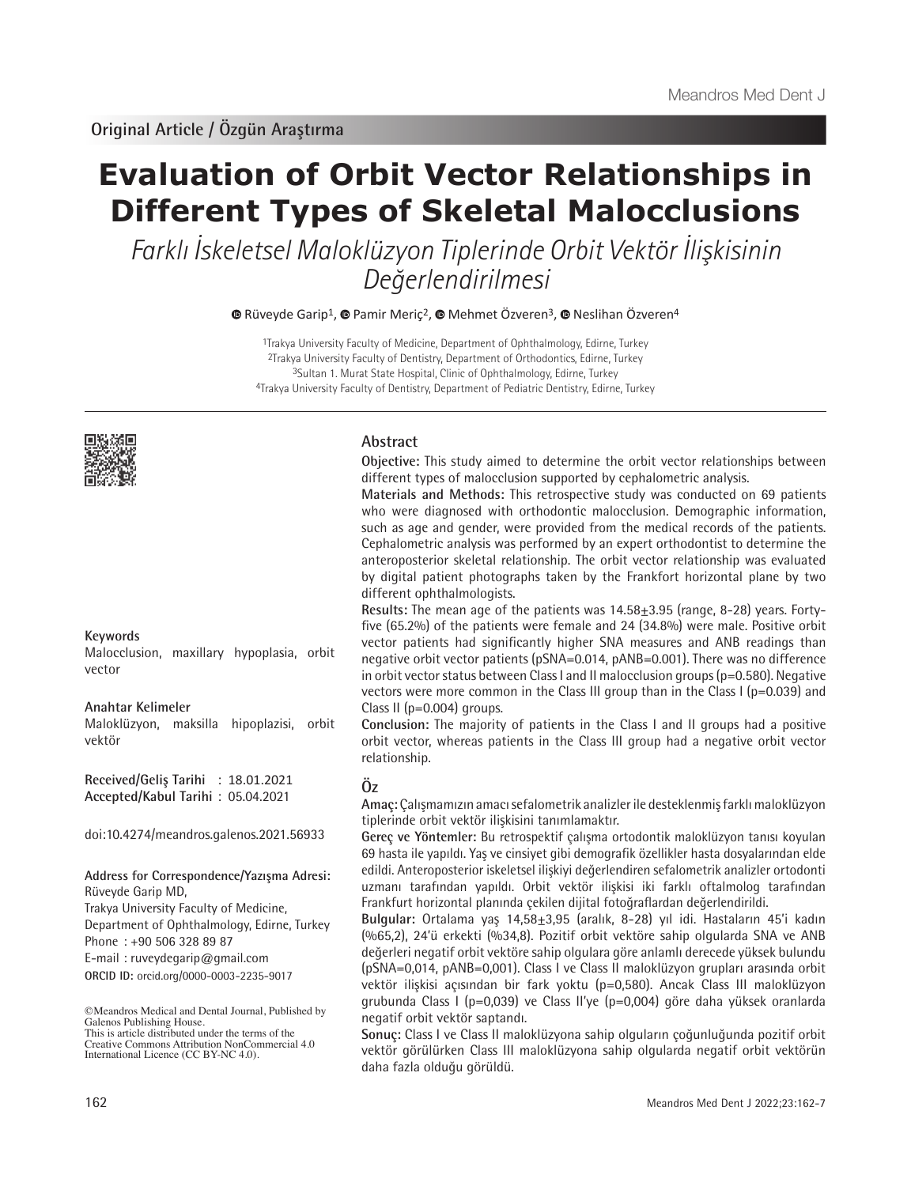# **Evaluation of Orbit Vector Relationships in Different Types of Skeletal Malocclusions**

Farklı İskeletsel Maloklüzyon Tiplerinde Orbit Vektör İlişkisinin Değerlendirilmesi

 $\bullet$ Rüveyde Garip<sup>1</sup>,  $\bullet$  Pamir Meric<sup>2</sup>,  $\bullet$  Mehmet Özveren<sup>3</sup>,  $\bullet$  Neslihan Özveren<sup>4</sup>

Trakya University Faculty of Medicine, Department of Ophthalmology, Edirne, Turkey Trakya University Faculty of Dentistry, Department of Orthodontics, Edirne, Turkey Sultan 1. Murat State Hospital, Clinic of Ophthalmology, Edirne, Turkey Trakya University Faculty of Dentistry, Department of Pediatric Dentistry, Edirne, Turkey



#### **Keywords**

Malocclusion, maxillary hypoplasia, orbit vector

#### **Anahtar Kelimeler**

Maloklüzyon, maksilla hipoplazisi, orbit vektör

**Received/Geliş Tarihi** : 18.01.2021 **Accepted/Kabul Tarihi** : 05.04.2021

doi:10.4274/meandros.galenos.2021.56933

#### **Address for Correspondence/Yazışma Adresi:** Rüveyde Garip MD,

**ORCID ID:** orcid.org/0000-0003-2235-9017 Trakya University Faculty of Medicine, Department of Ophthalmology, Edirne, Turkey Phone : +90 506 328 89 87 E-mail : ruveydegarip@gmail.com

©Meandros Medical and Dental Journal, Published by Galenos Publishing House. This is article distributed under the terms of the

Creative Commons Attribution NonCommercial 4.0 International Licence (CC BY-NC 4.0).

#### **Abstract**

**Objective:** This study aimed to determine the orbit vector relationships between different types of malocclusion supported by cephalometric analysis.

**Materials and Methods:** This retrospective study was conducted on 69 patients who were diagnosed with orthodontic malocclusion. Demographic information, such as age and gender, were provided from the medical records of the patients. Cephalometric analysis was performed by an expert orthodontist to determine the anteroposterior skeletal relationship. The orbit vector relationship was evaluated by digital patient photographs taken by the Frankfort horizontal plane by two different ophthalmologists.

**Results:** The mean age of the patients was 14.58±3.95 (range, 8-28) years. Fortyfive (65.2%) of the patients were female and 24 (34.8%) were male. Positive orbit vector patients had significantly higher SNA measures and ANB readings than negative orbit vector patients (pSNA=0.014, pANB=0.001). There was no difference in orbit vector status between Class I and II malocclusion groups (p=0.580). Negative vectors were more common in the Class III group than in the Class I ( $p=0.039$ ) and Class II (p=0.004) groups.

**Conclusion:** The majority of patients in the Class I and II groups had a positive orbit vector, whereas patients in the Class III group had a negative orbit vector relationship.

## **Öz**

**Amaç:** Çalışmamızın amacı sefalometrik analizler ile desteklenmiş farklı maloklüzyon tiplerinde orbit vektör ilişkisini tanımlamaktır.

**Gereç ve Yöntemler:** Bu retrospektif çalışma ortodontik maloklüzyon tanısı koyulan 69 hasta ile yapıldı. Yaş ve cinsiyet gibi demografik özellikler hasta dosyalarından elde edildi. Anteroposterior iskeletsel ilişkiyi değerlendiren sefalometrik analizler ortodonti uzmanı tarafından yapıldı. Orbit vektör ilişkisi iki farklı oftalmolog tarafından Frankfurt horizontal planında çekilen dijital fotoğraflardan değerlendirildi.

**Bulgular:** Ortalama yaş 14,58±3,95 (aralık, 8-28) yıl idi. Hastaların 45'i kadın (%65,2), 24'ü erkekti (%34,8). Pozitif orbit vektöre sahip olgularda SNA ve ANB değerleri negatif orbit vektöre sahip olgulara göre anlamlı derecede yüksek bulundu (pSNA=0,014, pANB=0,001). Class I ve Class II maloklüzyon grupları arasında orbit vektör ilişkisi açısından bir fark yoktu (p=0,580). Ancak Class III maloklüzyon grubunda Class I (p=0,039) ve Class II'ye (p=0,004) göre daha yüksek oranlarda negatif orbit vektör saptandı.

**Sonuç:** Class I ve Class II maloklüzyona sahip olguların çoğunluğunda pozitif orbit vektör görülürken Class III maloklüzyona sahip olgularda negatif orbit vektörün daha fazla olduğu görüldü.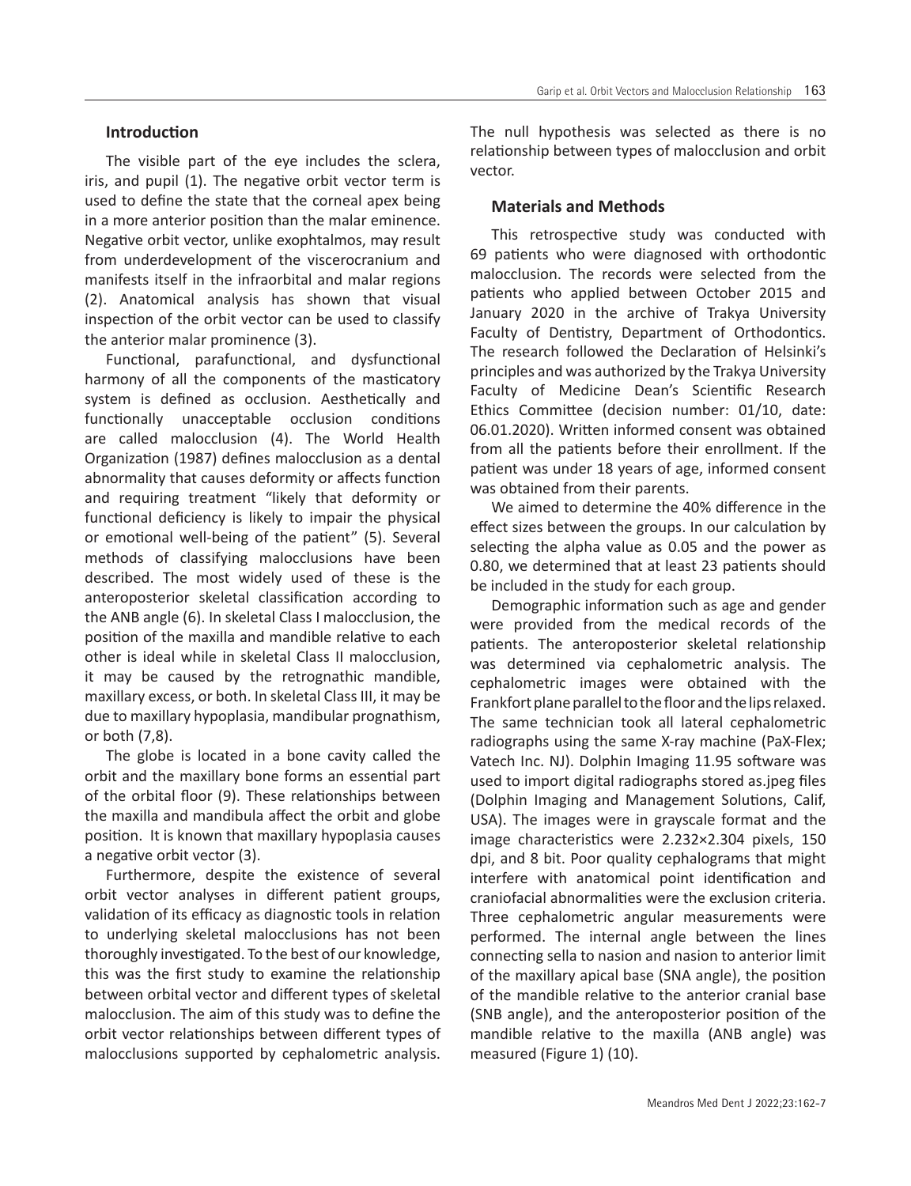## **Introduction**

The visible part of the eye includes the sclera, iris, and pupil (1). The negative orbit vector term is used to define the state that the corneal apex being in a more anterior position than the malar eminence. Negative orbit vector, unlike exophtalmos, may result from underdevelopment of the viscerocranium and manifests itself in the infraorbital and malar regions (2). Anatomical analysis has shown that visual inspection of the orbit vector can be used to classify the anterior malar prominence (3).

Functional, parafunctional, and dysfunctional harmony of all the components of the masticatory system is defined as occlusion. Aesthetically and functionally unacceptable occlusion conditions are called malocclusion (4). The World Health Organization (1987) defines malocclusion as a dental abnormality that causes deformity or affects function and requiring treatment "likely that deformity or functional deficiency is likely to impair the physical or emotional well-being of the patient" (5). Several methods of classifying malocclusions have been described. The most widely used of these is the anteroposterior skeletal classification according to the ANB angle (6). In skeletal Class I malocclusion, the position of the maxilla and mandible relative to each other is ideal while in skeletal Class II malocclusion, it may be caused by the retrognathic mandible, maxillary excess, or both. In skeletal Class III, it may be due to maxillary hypoplasia, mandibular prognathism, or both (7,8).

The globe is located in a bone cavity called the orbit and the maxillary bone forms an essential part of the orbital floor (9). These relationships between the maxilla and mandibula affect the orbit and globe position. It is known that maxillary hypoplasia causes a negative orbit vector (3).

Furthermore, despite the existence of several orbit vector analyses in different patient groups, validation of its efficacy as diagnostic tools in relation to underlying skeletal malocclusions has not been thoroughly investigated. To the best of our knowledge, this was the first study to examine the relationship between orbital vector and different types of skeletal malocclusion. The aim of this study was to define the orbit vector relationships between different types of malocclusions supported by cephalometric analysis.

The null hypothesis was selected as there is no relationship between types of malocclusion and orbit vector.

#### **Materials and Methods**

This retrospective study was conducted with 69 patients who were diagnosed with orthodontic malocclusion. The records were selected from the patients who applied between October 2015 and January 2020 in the archive of Trakya University Faculty of Dentistry, Department of Orthodontics. The research followed the Declaration of Helsinki's principles and was authorized by the Trakya University Faculty of Medicine Dean's Scientific Research Ethics Committee (decision number: 01/10, date: 06.01.2020). Written informed consent was obtained from all the patients before their enrollment. If the patient was under 18 years of age, informed consent was obtained from their parents.

We aimed to determine the 40% difference in the effect sizes between the groups. In our calculation by selecting the alpha value as 0.05 and the power as 0.80, we determined that at least 23 patients should be included in the study for each group.

Demographic information such as age and gender were provided from the medical records of the patients. The anteroposterior skeletal relationship was determined via cephalometric analysis. The cephalometric images were obtained with the Frankfort plane parallel to the floor and the lips relaxed. The same technician took all lateral cephalometric radiographs using the same X-ray machine (PaX-Flex; Vatech Inc. NJ). Dolphin Imaging 11.95 software was used to import digital radiographs stored as.jpeg files (Dolphin Imaging and Management Solutions, Calif, USA). The images were in grayscale format and the image characteristics were 2.232×2.304 pixels, 150 dpi, and 8 bit. Poor quality cephalograms that might interfere with anatomical point identification and craniofacial abnormalities were the exclusion criteria. Three cephalometric angular measurements were performed. The internal angle between the lines connecting sella to nasion and nasion to anterior limit of the maxillary apical base (SNA angle), the position of the mandible relative to the anterior cranial base (SNB angle), and the anteroposterior position of the mandible relative to the maxilla (ANB angle) was measured (Figure 1) (10).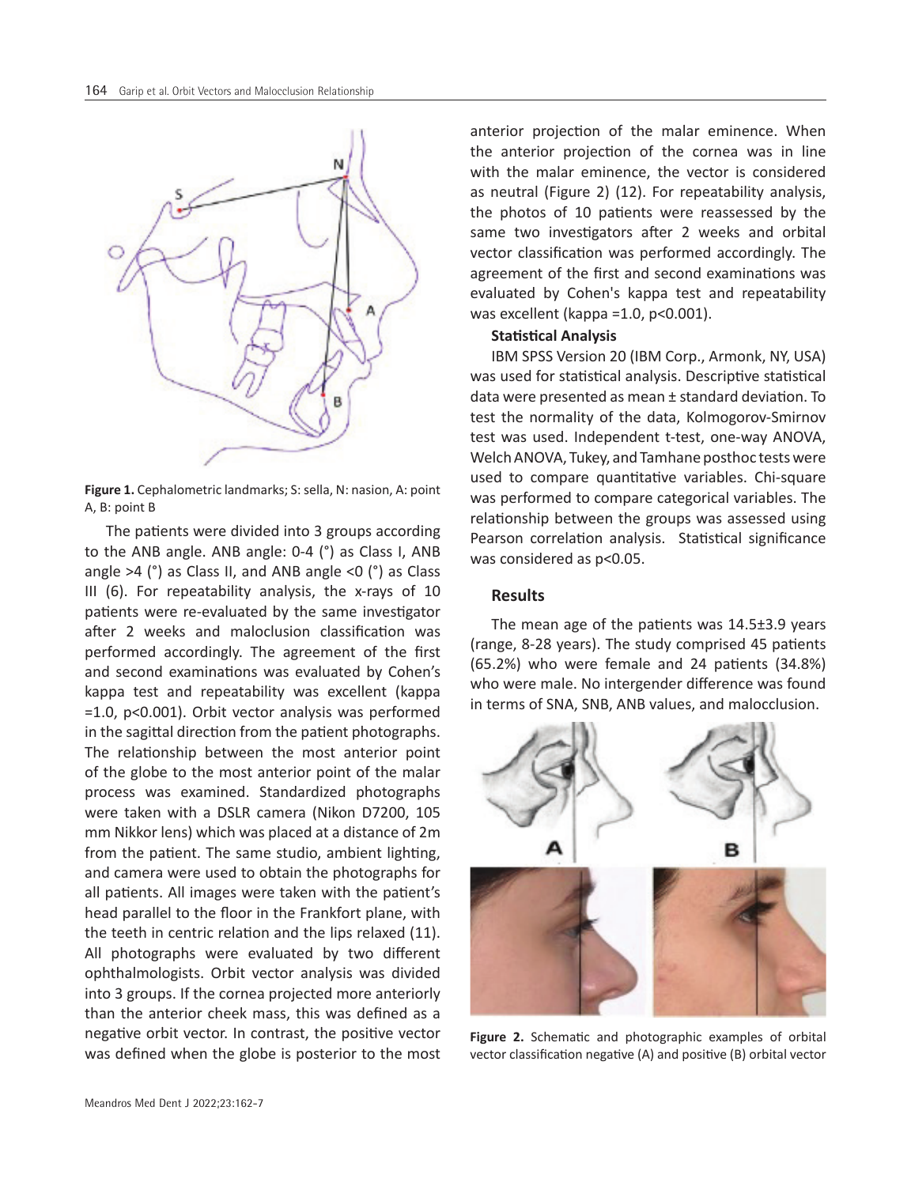

**Figure 1.** Cephalometric landmarks; S: sella, N: nasion, A: point A, B: point B

The patients were divided into 3 groups according to the ANB angle. ANB angle: 0-4 (°) as Class I, ANB angle  $>4$  ( $^{\circ}$ ) as Class II, and ANB angle <0 ( $^{\circ}$ ) as Class III (6). For repeatability analysis, the x-rays of 10 patients were re-evaluated by the same investigator after 2 weeks and maloclusion classification was performed accordingly. The agreement of the first and second examinations was evaluated by Cohen's kappa test and repeatability was excellent (kappa =1.0, p<0.001). Orbit vector analysis was performed in the sagittal direction from the patient photographs. The relationship between the most anterior point of the globe to the most anterior point of the malar process was examined. Standardized photographs were taken with a DSLR camera (Nikon D7200, 105 mm Nikkor lens) which was placed at a distance of 2m from the patient. The same studio, ambient lighting, and camera were used to obtain the photographs for all patients. All images were taken with the patient's head parallel to the floor in the Frankfort plane, with the teeth in centric relation and the lips relaxed (11). All photographs were evaluated by two different ophthalmologists. Orbit vector analysis was divided into 3 groups. If the cornea projected more anteriorly than the anterior cheek mass, this was defined as a negative orbit vector. In contrast, the positive vector was defined when the globe is posterior to the most anterior projection of the malar eminence. When the anterior projection of the cornea was in line with the malar eminence, the vector is considered as neutral (Figure 2) (12). For repeatability analysis, the photos of 10 patients were reassessed by the same two investigators after 2 weeks and orbital vector classification was performed accordingly. The agreement of the first and second examinations was evaluated by Cohen's kappa test and repeatability was excellent (kappa = 1.0, p< 0.001).

## **Statistical Analysis**

IBM SPSS Version 20 (IBM Corp., Armonk, NY, USA) was used for statistical analysis. Descriptive statistical data were presented as mean ± standard deviation. To test the normality of the data, Kolmogorov-Smirnov test was used. Independent t-test, one-way ANOVA, Welch ANOVA, Tukey, and Tamhane posthoc tests were used to compare quantitative variables. Chi-square was performed to compare categorical variables. The relationship between the groups was assessed using Pearson correlation analysis. Statistical significance was considered as p<0.05.

#### **Results**

The mean age of the patients was 14.5±3.9 years (range, 8-28 years). The study comprised 45 patients (65.2%) who were female and 24 patients (34.8%) who were male. No intergender difference was found in terms of SNA, SNB, ANB values, and malocclusion.



**Figure 2.** Schematic and photographic examples of orbital vector classification negative (A) and positive (B) orbital vector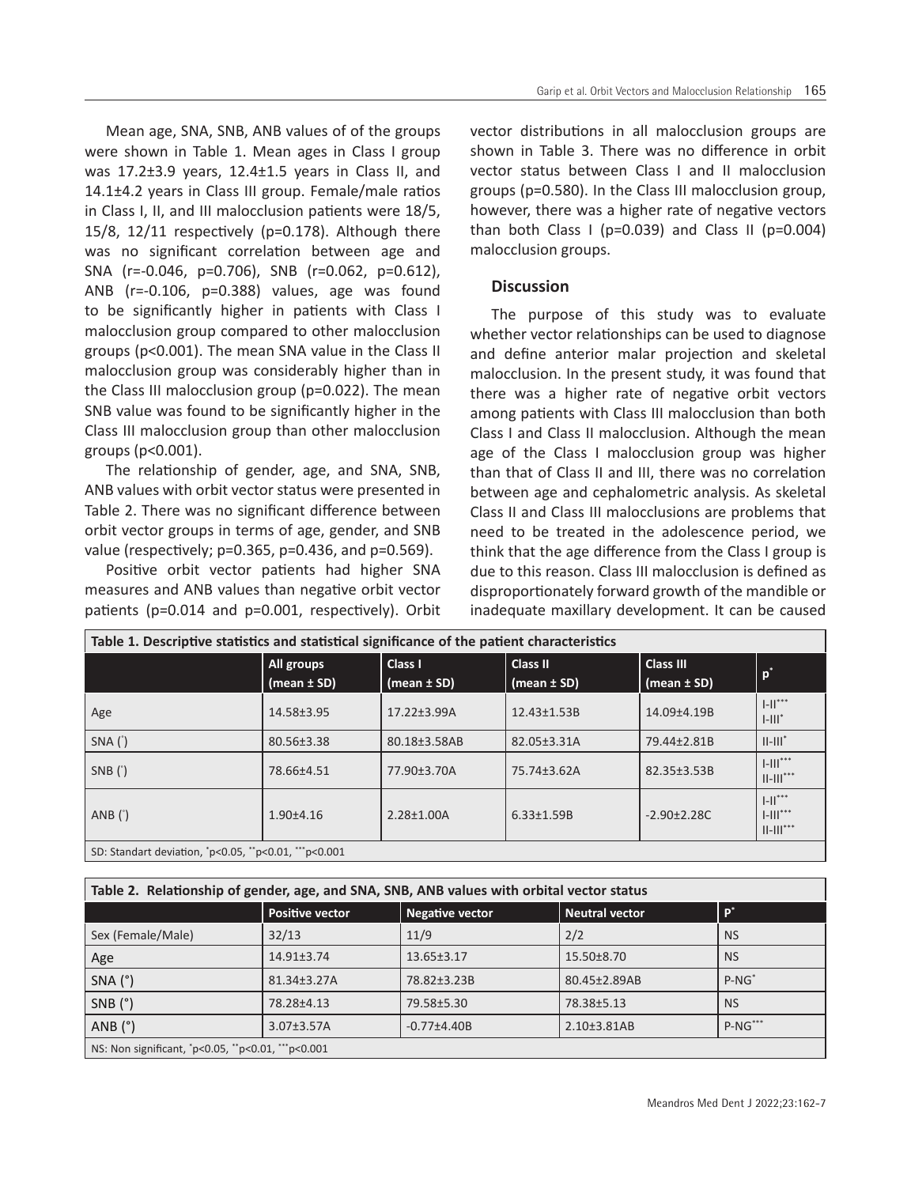Mean age, SNA, SNB, ANB values of of the groups were shown in Table 1. Mean ages in Class I group was 17.2±3.9 years, 12.4±1.5 years in Class II, and 14.1±4.2 years in Class III group. Female/male ratios in Class I, II, and III malocclusion patients were 18/5, 15/8, 12/11 respectively (p=0.178). Although there was no significant correlation between age and SNA (r=-0.046, p=0.706), SNB (r=0.062, p=0.612), ANB (r=-0.106, p=0.388) values, age was found to be significantly higher in patients with Class I malocclusion group compared to other malocclusion groups (p<0.001). The mean SNA value in the Class II malocclusion group was considerably higher than in the Class III malocclusion group (p=0.022). The mean SNB value was found to be significantly higher in the Class III malocclusion group than other malocclusion

The relationship of gender, age, and SNA, SNB, ANB values with orbit vector status were presented in Table 2. There was no significant difference between orbit vector groups in terms of age, gender, and SNB value (respectively; p=0.365, p=0.436, and p=0.569).

groups (p<0.001).

Positive orbit vector patients had higher SNA measures and ANB values than negative orbit vector patients (p=0.014 and p=0.001, respectively). Orbit

NS: Non significant, \* p<0.05, \*\*p<0.01, \*\*\*p<0.001

vector distributions in all malocclusion groups are shown in Table 3. There was no difference in orbit vector status between Class I and II malocclusion groups (p=0.580). In the Class III malocclusion group, however, there was a higher rate of negative vectors than both Class I ( $p=0.039$ ) and Class II ( $p=0.004$ ) malocclusion groups.

# **Discussion**

The purpose of this study was to evaluate whether vector relationships can be used to diagnose and define anterior malar projection and skeletal malocclusion. In the present study, it was found that there was a higher rate of negative orbit vectors among patients with Class III malocclusion than both Class I and Class II malocclusion. Although the mean age of the Class I malocclusion group was higher than that of Class II and III, there was no correlation between age and cephalometric analysis. As skeletal Class II and Class III malocclusions are problems that need to be treated in the adolescence period, we think that the age difference from the Class I group is due to this reason. Class III malocclusion is defined as disproportionately forward growth of the mandible or inadequate maxillary development. It can be caused

| Table 1. Descriptive statistics and statistical significance of the patient characteristics |                               |                            |                                |                                     |                                                 |  |
|---------------------------------------------------------------------------------------------|-------------------------------|----------------------------|--------------------------------|-------------------------------------|-------------------------------------------------|--|
|                                                                                             | All groups<br>$(mean \pm SD)$ | Class I<br>$(mean \pm SD)$ | <b>Class II</b><br>(mean ± SD) | <b>Class III</b><br>$(mean \pm SD)$ | $p^*$                                           |  |
| Age                                                                                         | 14.58±3.95                    | $17.22 + 3.99A$            | 12.43±1.53B                    | 14.09±4.19B                         | $1 - 11***$<br>$\mathsf{L} \mathsf{III}^*$      |  |
| $SNA$ $(^{\circ})$                                                                          | 80.56±3.38                    | 80.18±3.58AB               | 82.05±3.31A                    | 79.44±2.81B                         | $  -   $                                        |  |
| SNB $()$                                                                                    | 78.66±4.51                    | 77.90±3.70A                | 75.74±3.62A                    | 82.35 ± 3.53 B                      | $1 - 111$ <sup>***</sup><br>$  -   ^{***}$      |  |
| AND(')                                                                                      | $1.90 + 4.16$                 | $2.28 \pm 1.00$ A          | $6.33 \pm 1.59B$               | $-2.90 \pm 2.28$ C                  | $1 - 11***$<br>$1 - 111***$<br>$   -     ^{**}$ |  |
| SD: Standart deviation, 'p<0.05, ''p<0.01, '''p<0.001                                       |                               |                            |                                |                                     |                                                 |  |

| Table 2. Relationship of gender, age, and SNA, SNB, ANB values with orbital vector status |                        |                  |                |                |  |  |
|-------------------------------------------------------------------------------------------|------------------------|------------------|----------------|----------------|--|--|
|                                                                                           | <b>Positive vector</b> | Negative vector  | Neutral vector | $\mathbf{P}^*$ |  |  |
| Sex (Female/Male)                                                                         | 32/13                  | 11/9             | 2/2            | <b>NS</b>      |  |  |
| Age                                                                                       | $14.91 \pm 3.74$       | $13.65 \pm 3.17$ | 15.50±8.70     | <b>NS</b>      |  |  |
|                                                                                           |                        |                  |                |                |  |  |

SNA (°) | 81.34±3.27A | 78.82±3.23B | 80.45±2.89AB | P-NG\* SNB (°) | 78.28±4.13 | 79.58±5.30 | 78.38±5.13 | NS ANB (°) | 3.07±3.57A | -0.77±4.40B | 2.10±3.81AB | P-NG\*\*\*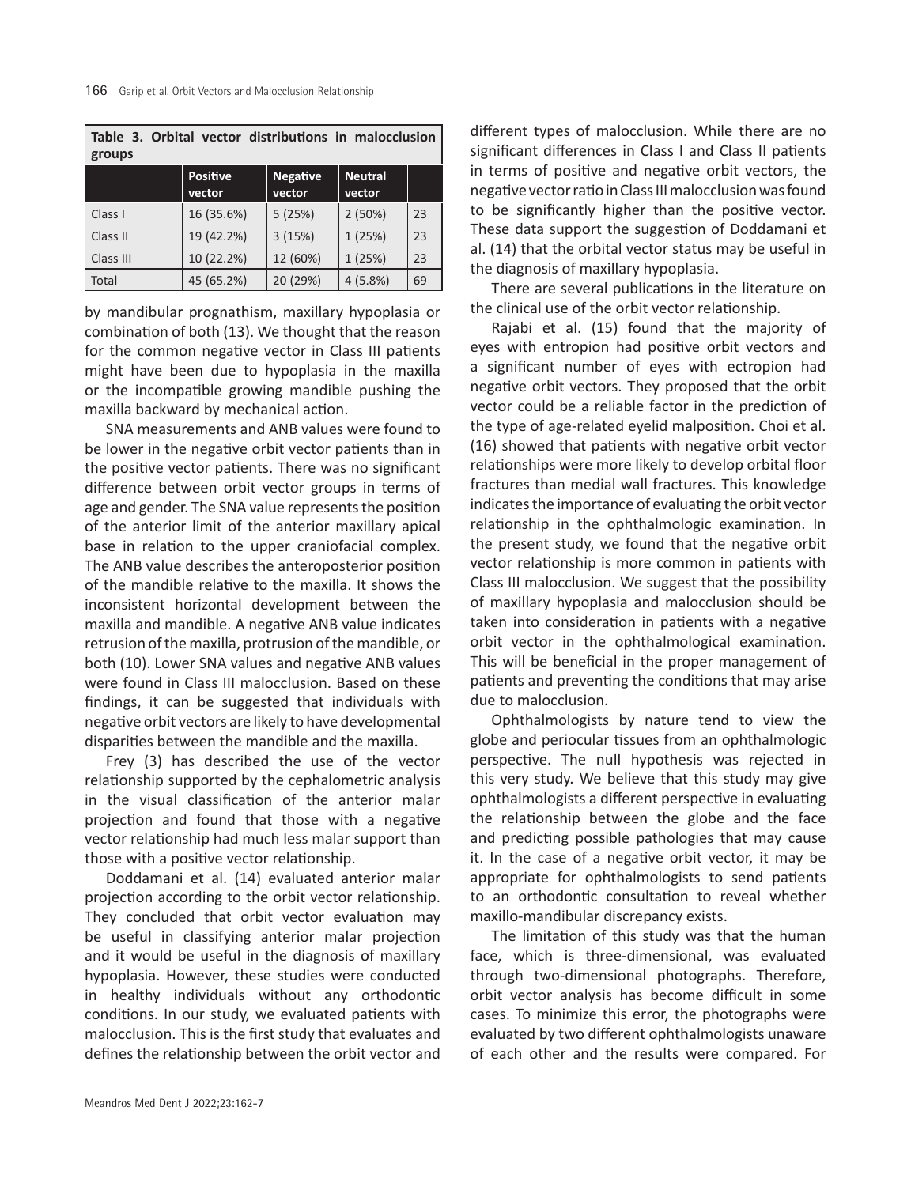|        |  |  | Table 3. Orbital vector distributions in malocclusion |
|--------|--|--|-------------------------------------------------------|
| groups |  |  |                                                       |

|           | <b>Positive</b><br>vector | <b>Negative</b><br>vector | <b>Neutral</b><br>vector |    |
|-----------|---------------------------|---------------------------|--------------------------|----|
| Class I   | 16 (35.6%)                | 5(25%)                    | 2(50%)                   | 23 |
| Class II  | 19 (42.2%)                | 3(15%)                    | 1(25%)                   | 23 |
| Class III | 10 (22.2%)                | 12 (60%)                  | 1(25%)                   | 23 |
| Total     | 45 (65.2%)                | 20 (29%)                  | 4(5.8%)                  | 69 |

by mandibular prognathism, maxillary hypoplasia or combination of both (13). We thought that the reason for the common negative vector in Class III patients might have been due to hypoplasia in the maxilla or the incompatible growing mandible pushing the maxilla backward by mechanical action.

SNA measurements and ANB values were found to be lower in the negative orbit vector patients than in the positive vector patients. There was no significant difference between orbit vector groups in terms of age and gender. The SNA value represents the position of the anterior limit of the anterior maxillary apical base in relation to the upper craniofacial complex. The ANB value describes the anteroposterior position of the mandible relative to the maxilla. It shows the inconsistent horizontal development between the maxilla and mandible. A negative ANB value indicates retrusion of the maxilla, protrusion of the mandible, or both (10). Lower SNA values and negative ANB values were found in Class III malocclusion. Based on these findings, it can be suggested that individuals with negative orbit vectors are likely to have developmental disparities between the mandible and the maxilla.

Frey (3) has described the use of the vector relationship supported by the cephalometric analysis in the visual classification of the anterior malar projection and found that those with a negative vector relationship had much less malar support than those with a positive vector relationship.

Doddamani et al. (14) evaluated anterior malar projection according to the orbit vector relationship. They concluded that orbit vector evaluation may be useful in classifying anterior malar projection and it would be useful in the diagnosis of maxillary hypoplasia. However, these studies were conducted in healthy individuals without any orthodontic conditions. In our study, we evaluated patients with malocclusion. This is the first study that evaluates and defines the relationship between the orbit vector and

different types of malocclusion. While there are no significant differences in Class I and Class II patients in terms of positive and negative orbit vectors, the negative vector ratio in Class III malocclusion was found to be significantly higher than the positive vector. These data support the suggestion of Doddamani et al. (14) that the orbital vector status may be useful in the diagnosis of maxillary hypoplasia.

There are several publications in the literature on the clinical use of the orbit vector relationship.

Rajabi et al. (15) found that the majority of eyes with entropion had positive orbit vectors and a significant number of eyes with ectropion had negative orbit vectors. They proposed that the orbit vector could be a reliable factor in the prediction of the type of age-related eyelid malposition. Choi et al. (16) showed that patients with negative orbit vector relationships were more likely to develop orbital floor fractures than medial wall fractures. This knowledge indicates the importance of evaluating the orbit vector relationship in the ophthalmologic examination. In the present study, we found that the negative orbit vector relationship is more common in patients with Class III malocclusion. We suggest that the possibility of maxillary hypoplasia and malocclusion should be taken into consideration in patients with a negative orbit vector in the ophthalmological examination. This will be beneficial in the proper management of patients and preventing the conditions that may arise due to malocclusion.

Ophthalmologists by nature tend to view the globe and periocular tissues from an ophthalmologic perspective. The null hypothesis was rejected in this very study. We believe that this study may give ophthalmologists a different perspective in evaluating the relationship between the globe and the face and predicting possible pathologies that may cause it. In the case of a negative orbit vector, it may be appropriate for ophthalmologists to send patients to an orthodontic consultation to reveal whether maxillo-mandibular discrepancy exists.

The limitation of this study was that the human face, which is three-dimensional, was evaluated through two-dimensional photographs. Therefore, orbit vector analysis has become difficult in some cases. To minimize this error, the photographs were evaluated by two different ophthalmologists unaware of each other and the results were compared. For